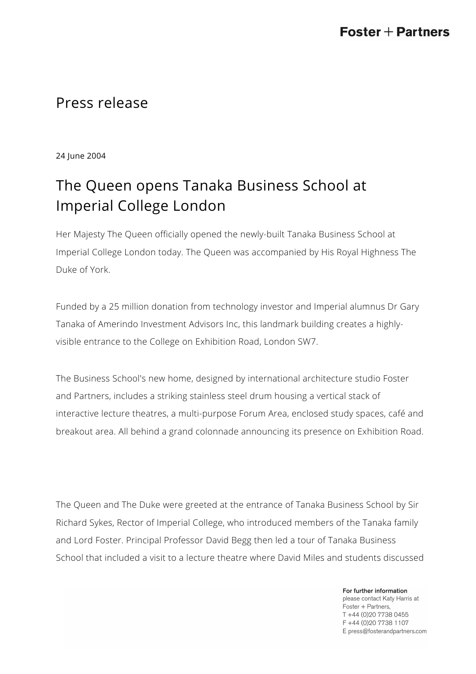## Press release

24 June 2004

# The Queen opens Tanaka Business School at Imperial College London

Her Majesty The Queen officially opened the newly-built Tanaka Business School at Imperial College London today. The Queen was accompanied by His Royal Highness The Duke of York.

Funded by a 25 million donation from technology investor and Imperial alumnus Dr Gary Tanaka of Amerindo Investment Advisors Inc, this landmark building creates a highlyvisible entrance to the College on Exhibition Road, London SW7.

The Business School's new home, designed by international architecture studio Foster and Partners, includes a striking stainless steel drum housing a vertical stack of interactive lecture theatres, a multi-purpose Forum Area, enclosed study spaces, café and breakout area. All behind a grand colonnade announcing its presence on Exhibition Road.

The Queen and The Duke were greeted at the entrance of Tanaka Business School by Sir Richard Sykes, Rector of Imperial College, who introduced members of the Tanaka family and Lord Foster. Principal Professor David Begg then led a tour of Tanaka Business School that included a visit to a lecture theatre where David Miles and students discussed

> For further information please contact Katy Harris at Foster + Partners, T +44 (0)20 7738 0455 F +44 (0) 20 7738 1107 E press@fosterandpartners.com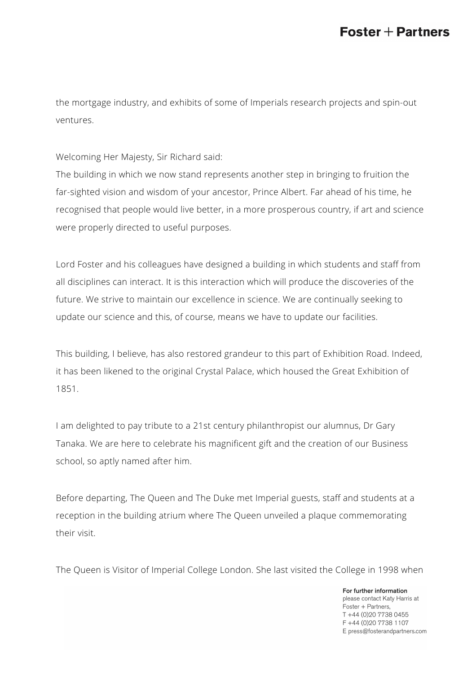the mortgage industry, and exhibits of some of Imperials research projects and spin-out ventures.

Welcoming Her Majesty, Sir Richard said:

The building in which we now stand represents another step in bringing to fruition the far-sighted vision and wisdom of your ancestor, Prince Albert. Far ahead of his time, he recognised that people would live better, in a more prosperous country, if art and science were properly directed to useful purposes.

Lord Foster and his colleagues have designed a building in which students and staff from all disciplines can interact. It is this interaction which will produce the discoveries of the future. We strive to maintain our excellence in science. We are continually seeking to update our science and this, of course, means we have to update our facilities.

This building, I believe, has also restored grandeur to this part of Exhibition Road. Indeed, it has been likened to the original Crystal Palace, which housed the Great Exhibition of 1851.

I am delighted to pay tribute to a 21st century philanthropist our alumnus, Dr Gary Tanaka. We are here to celebrate his magnificent gift and the creation of our Business school, so aptly named after him.

Before departing, The Queen and The Duke met Imperial guests, staff and students at a reception in the building atrium where The Queen unveiled a plaque commemorating their visit.

The Queen is Visitor of Imperial College London. She last visited the College in 1998 when

For further information please contact Katy Harris at Foster + Partners, T +44 (0)20 7738 0455 F +44 (0) 20 7738 1107 E press@fosterandpartners.com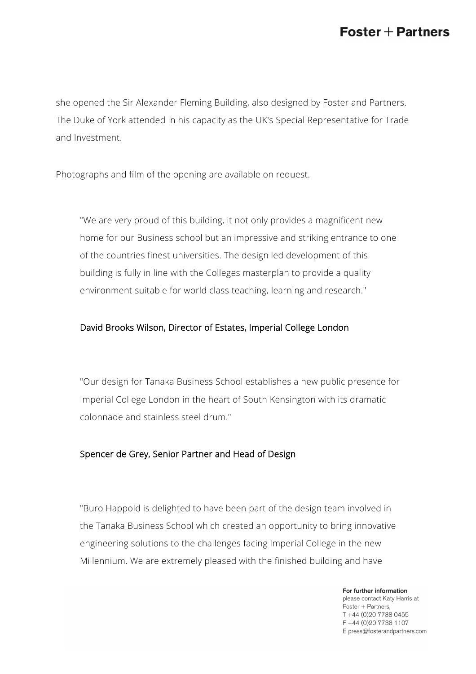## $\textsf{Foster}+\textsf{Partners}$

she opened the Sir Alexander Fleming Building, also designed by Foster and Partners. The Duke of York attended in his capacity as the UK's Special Representative for Trade and Investment.

Photographs and film of the opening are available on request.

"We are very proud of this building, it not only provides a magnificent new home for our Business school but an impressive and striking entrance to one of the countries finest universities. The design led development of this building is fully in line with the Colleges masterplan to provide a quality environment suitable for world class teaching, learning and research."

#### David Brooks Wilson, Director of Estates, Imperial College London

"Our design for Tanaka Business School establishes a new public presence for Imperial College London in the heart of South Kensington with its dramatic colonnade and stainless steel drum."

#### Spencer de Grey, Senior Partner and Head of Design

"Buro Happold is delighted to have been part of the design team involved in the Tanaka Business School which created an opportunity to bring innovative engineering solutions to the challenges facing Imperial College in the new Millennium. We are extremely pleased with the finished building and have

> For further information please contact Katy Harris at Foster + Partners, T +44 (0)20 7738 0455 F +44 (0) 20 7738 1107 E press@fosterandpartners.com